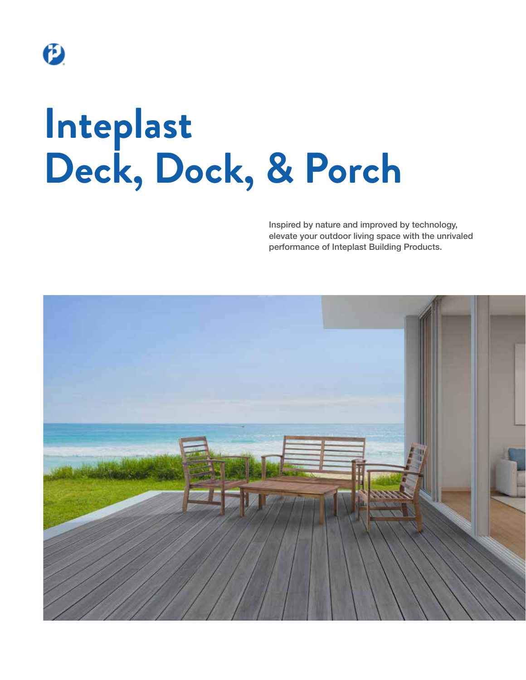

# **Inteplast Deck, Dock, & Porch**

Inspired by nature and improved by technology, elevate your outdoor living space with the unrivaled performance of Inteplast Building Products.

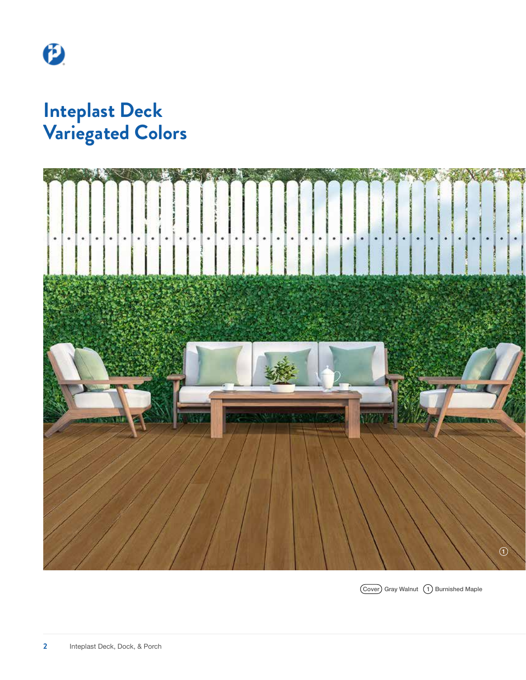

## **Inteplast Deck Variegated Colors**



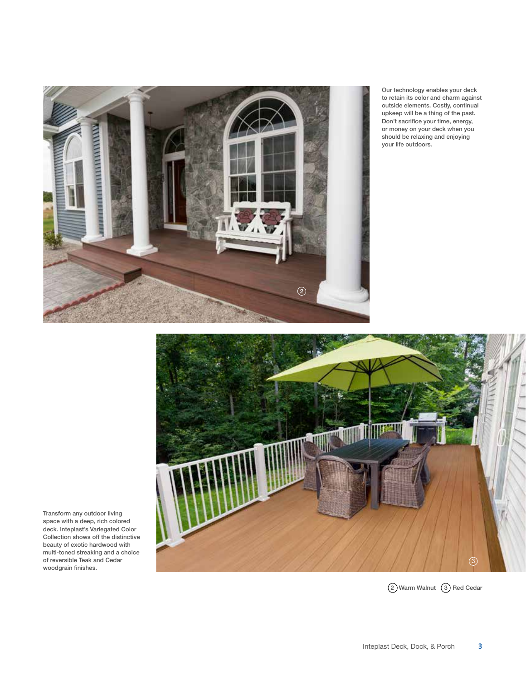

Our technology enables your deck to retain its color and charm against outside elements. Costly, continual upkeep will be a thing of the past. Don't sacrifice your time, energy, or money on your deck when you should be relaxing and enjoying your life outdoors.



Transform any outdoor living space with a deep, rich colored deck. Inteplast's Variegated Color Collection shows off the distinctive beauty of exotic hardwood with multi-toned streaking and a choice of reversible Teak and Cedar woodgrain finishes.

2 Warm Walnut 3 Red Cedar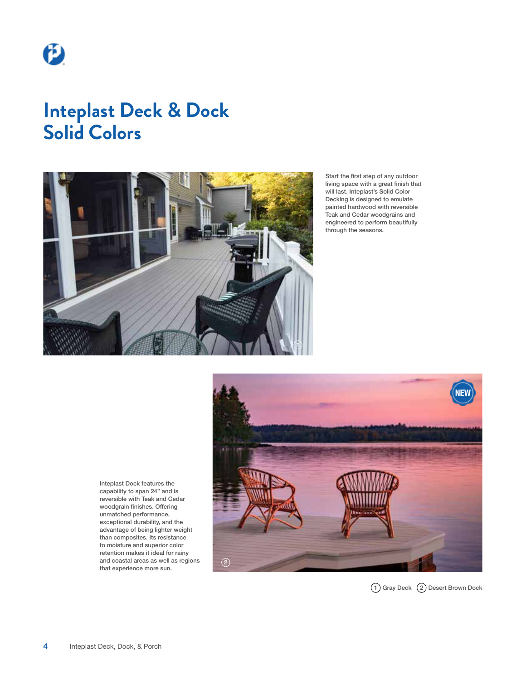

## **Inteplast Deck & Dock Solid Colors**



Start the first step of any outdoor living space with a great finish that will last. Inteplast's Solid Color Decking is designed to emulate painted hardwood with reversible Teak and Cedar woodgrains and engineered to perform beautifully through the seasons.

**NEW**  $\circled{2}$ 

Inteplast Dock features the capability to span 24" and is reversible with Teak and Cedar woodgrain finishes. Offering unmatched performance, exceptional durability, and the advantage of being lighter weight than composites. Its resistance to moisture and superior color retention makes it ideal for rainy and coastal areas as well as regions that experience more sun.

1) Gray Deck (2) Desert Brown Dock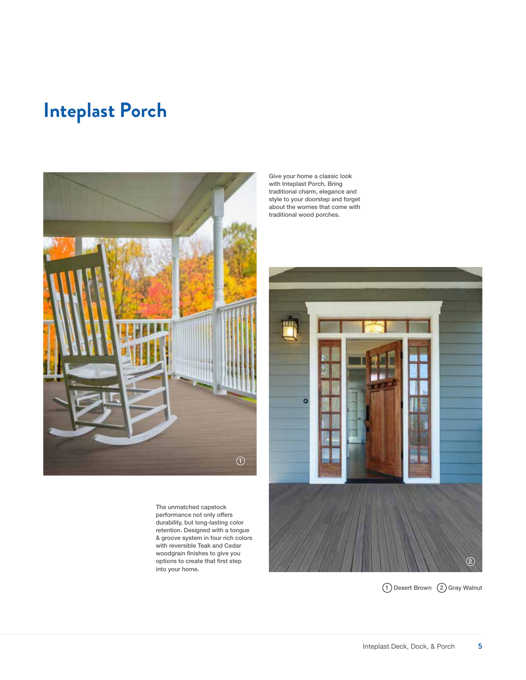## **Inteplast Porch**



The unmatched capstock performance not only offers durability, but long-lasting color retention. Designed with a tongue & groove system in four rich colors with reversible Teak and Cedar woodgrain finishes to give you options to create that first step into your home.

Give your home a classic look with Inteplast Porch. Bring traditional charm, elegance and style to your doorstep and forget about the worries that come with traditional wood porches.

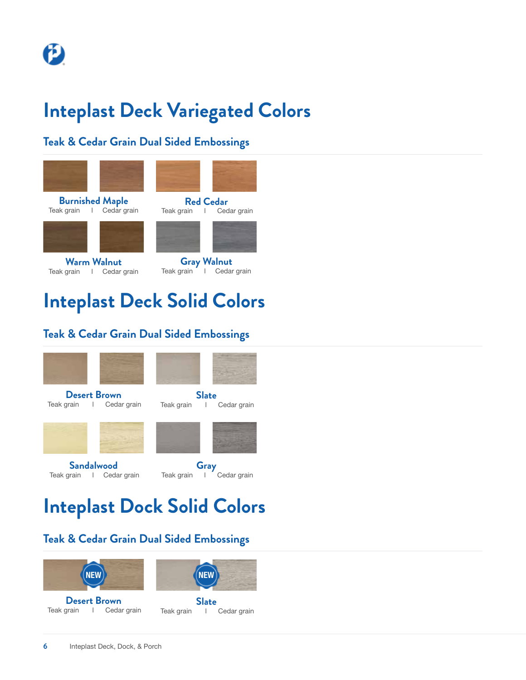## **Inteplast Deck Variegated Colors**

#### **Teak & Cedar Grain Dual Sided Embossings**



# **Inteplast Deck Solid Colors**

#### **Teak & Cedar Grain Dual Sided Embossings**



## **Inteplast Dock Solid Colors**

## **Teak & Cedar Grain Dual Sided Embossings**





**Slate**  Teak grain | Cedar grain **Desert Brown**  Teak grain | Cedar grain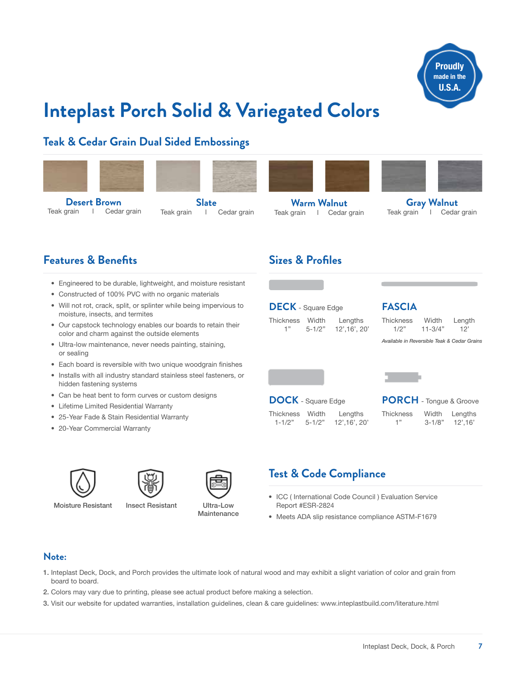

## **Inteplast Porch Solid & Variegated Colors**

**Slate**  Teak grain | Cedar grain

#### **Teak & Cedar Grain Dual Sided Embossings**



**Desert Brown**  Teak grain | Cedar grain







**Warm Walnut** Teak grain | Cedar grain



**Gray Walnut** Teak grain l Cedar grain

#### **Features & Benefits**

- Engineered to be durable, lightweight, and moisture resistant
- Constructed of 100% PVC with no organic materials
- Will not rot, crack, split, or splinter while being impervious to moisture, insects, and termites
- Our capstock technology enables our boards to retain their color and charm against the outside elements
- Ultra-low maintenance, never needs painting, staining, or sealing
- Each board is reversible with two unique woodgrain finishes
- Installs with all industry standard stainless steel fasteners, or hidden fastening systems
- Can be heat bent to form curves or custom designs
- Lifetime Limited Residential Warranty
- 25-Year Fade & Stain Residential Warranty
- 20-Year Commercial Warranty





Moisture Resistant Insect Resistant

Ultra-Low **Maintenance** 

#### **Sizes & Profiles**

**DECK** - Square Edge

Thickness Width Lengths 1" 5-1/2" 12',16', 20'

#### **FASCIA**

Thickness Width Length 1/2" 11-3/4" 12'

*Available in Reversible Teak & Cedar Grains*



 $1-1/2"$  5-1/2"

**PORCH** - Tongue & Groove Thickness Width Lengths<br>1" 3-1/8" 12'.16'  $3-1/8"$  12',16'

## **Test & Code Compliance**

- ICC ( International Code Council ) Evaluation Service Report #ESR-2824
- Meets ADA slip resistance compliance ASTM-F1679

#### **Note:**

- 1. Inteplast Deck, Dock, and Porch provides the ultimate look of natural wood and may exhibit a slight variation of color and grain from board to board.
- 2. Colors may vary due to printing, please see actual product before making a selection.
- 3. Visit our website for updated warranties, installation guidelines, clean & care guidelines: www.inteplastbuild.com/literature.html